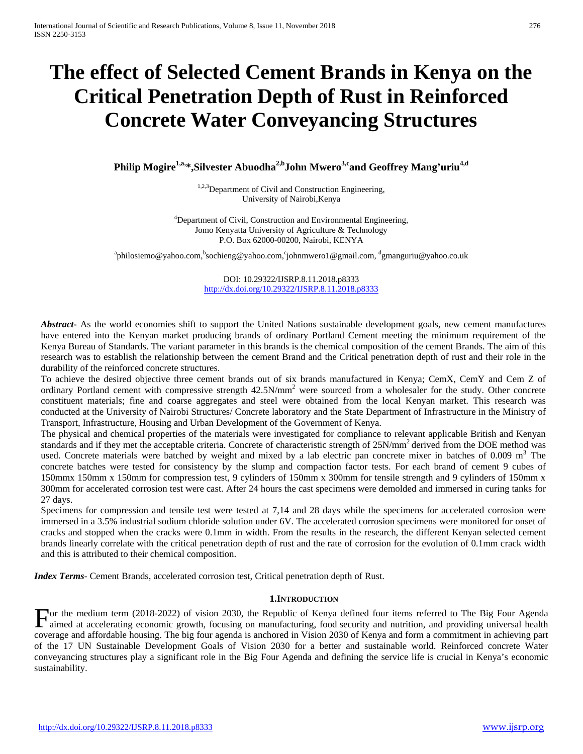# **The effect of Selected Cement Brands in Kenya on the Critical Penetration Depth of Rust in Reinforced Concrete Water Conveyancing Structures**

Philip Mogire<sup>1,a,\*</sup>,Silvester Abuodha<sup>2,b</sup>John Mwero<sup>3,c</sup>and Geoffrey Mang'uriu<sup>4,d</sup>

<sup>1,2,3</sup>Department of Civil and Construction Engineering, University of Nairobi,Kenya

<sup>4</sup>Department of Civil, Construction and Environmental Engineering, Jomo Kenyatta University of Agriculture & Technology P.O. Box 62000-00200, Nairobi, KENYA

<sup>a</sup>philosiemo@yahoo.com, <sup>b</sup>sochieng@yahoo.com, `johnmwero1@gmail.com, dgmanguriu@yahoo.co.uk

DOI: 10.29322/IJSRP.8.11.2018.p8333 <http://dx.doi.org/10.29322/IJSRP.8.11.2018.p8333>

*Abstract***-** As the world economies shift to support the United Nations sustainable development goals, new cement manufactures have entered into the Kenyan market producing brands of ordinary Portland Cement meeting the minimum requirement of the Kenya Bureau of Standards. The variant parameter in this brands is the chemical composition of the cement Brands. The aim of this research was to establish the relationship between the cement Brand and the Critical penetration depth of rust and their role in the durability of the reinforced concrete structures.

To achieve the desired objective three cement brands out of six brands manufactured in Kenya; CemX, CemY and Cem Z of ordinary Portland cement with compressive strength 42.5N/mm<sup>2</sup> were sourced from a wholesaler for the study. Other concrete constituent materials; fine and coarse aggregates and steel were obtained from the local Kenyan market. This research was conducted at the University of Nairobi Structures/ Concrete laboratory and the State Department of Infrastructure in the Ministry of Transport, Infrastructure, Housing and Urban Development of the Government of Kenya.

The physical and chemical properties of the materials were investigated for compliance to relevant applicable British and Kenyan standards and if they met the acceptable criteria. Concrete of characteristic strength of  $25N/mm^2$  derived from the DOE method was used. Concrete materials were batched by weight and mixed by a lab electric pan concrete mixer in batches of 0.009 m<sup>3</sup> The concrete batches were tested for consistency by the slump and compaction factor tests. For each brand of cement 9 cubes of 150mmx 150mm x 150mm for compression test, 9 cylinders of 150mm x 300mm for tensile strength and 9 cylinders of 150mm x 300mm for accelerated corrosion test were cast. After 24 hours the cast specimens were demolded and immersed in curing tanks for 27 days.

Specimens for compression and tensile test were tested at 7,14 and 28 days while the specimens for accelerated corrosion were immersed in a 3.5% industrial sodium chloride solution under 6V. The accelerated corrosion specimens were monitored for onset of cracks and stopped when the cracks were 0.1mm in width. From the results in the research, the different Kenyan selected cement brands linearly correlate with the critical penetration depth of rust and the rate of corrosion for the evolution of 0.1mm crack width and this is attributed to their chemical composition.

*Index Terms*- Cement Brands, accelerated corrosion test, Critical penetration depth of Rust.

#### **1.INTRODUCTION**

or the medium term (2018-2022) of vision 2030, the Republic of Kenya defined four items referred to The Big Four Agenda For the medium term (2018-2022) of vision 2030, the Republic of Kenya defined four items referred to The Big Four Agenda<br>aimed at accelerating economic growth, focusing on manufacturing, food security and nutrition, and pr coverage and affordable housing. The big four agenda is anchored in Vision 2030 of Kenya and form a commitment in achieving part of the 17 UN Sustainable Development Goals of Vision 2030 for a better and sustainable world. Reinforced concrete Water conveyancing structures play a significant role in the Big Four Agenda and defining the service life is crucial in Kenya's economic sustainability.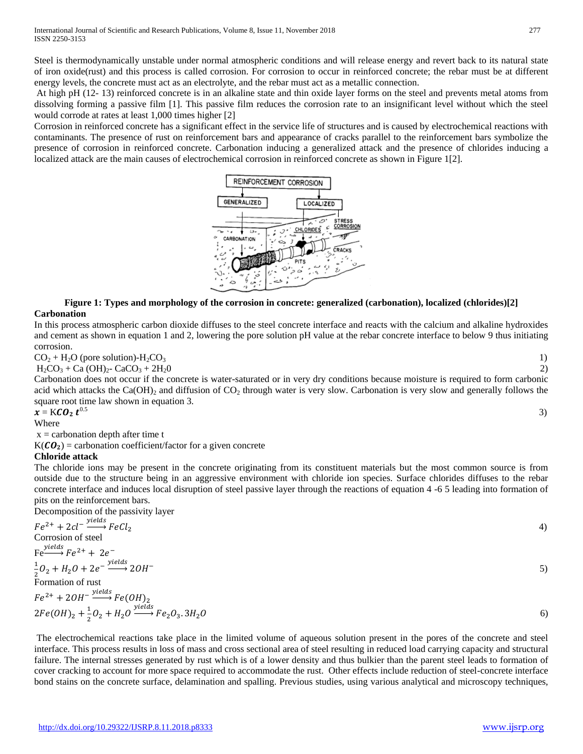Steel is thermodynamically unstable under normal atmospheric conditions and will release energy and revert back to its natural state of iron oxide(rust) and this process is called corrosion. For corrosion to occur in reinforced concrete; the rebar must be at different energy levels, the concrete must act as an electrolyte, and the rebar must act as a metallic connection.

At high pH (12- 13) reinforced concrete is in an alkaline state and thin oxide layer forms on the steel and prevents metal atoms from dissolving forming a passive film [1]. This passive film reduces the corrosion rate to an insignificant level without which the steel would corrode at rates at least 1,000 times higher [2]

Corrosion in reinforced concrete has a significant effect in the service life of structures and is caused by electrochemical reactions with contaminants. The presence of rust on reinforcement bars and appearance of cracks parallel to the reinforcement bars symbolize the presence of corrosion in reinforced concrete. Carbonation inducing a generalized attack and the presence of chlorides inducing a localized attack are the main causes of electrochemical corrosion in reinforced concrete as shown in Figure 1[2].



# **Figure 1: Types and morphology of the corrosion in concrete: generalized (carbonation), localized (chlorides)[2] Carbonation**

In this process atmospheric carbon dioxide diffuses to the steel concrete interface and reacts with the calcium and alkaline hydroxides and cement as shown in equation 1 and 2, lowering the pore solution pH value at the rebar concrete interface to below 9 thus initiating corrosion.

$$
CO2 + H2O (pore solution) - H2CO3
$$

 $H_2CO_3 + Ca(OH)_2 - CaCO_3 + 2H_2O$  2)

Carbonation does not occur if the concrete is water-saturated or in very dry conditions because moisture is required to form carbonic acid which attacks the  $Ca(OH)_2$  and diffusion of  $CO_2$  through water is very slow. Carbonation is very slow and generally follows the square root time law shown in equation 3.  $\frac{0.5}{3}$ 

# $x = KCO_2 t^{0.5}$

Where

 $x =$  carbonation depth after time t

 $K(CO_2)$  = carbonation coefficient/factor for a given concrete

### **Chloride attack**

The chloride ions may be present in the concrete originating from its constituent materials but the most common source is from outside due to the structure being in an aggressive environment with chloride ion species. Surface chlorides diffuses to the rebar concrete interface and induces local disruption of steel passive layer through the reactions of equation 4 -6 5 leading into formation of pits on the reinforcement bars.

Decomposition of the passivity layer

$$
Fe^{2+} + 2cl^{-} \xrightarrow{yields} FeCl_2
$$
  
Corrosion of steel  
Fe<sup>2+</sup> + 2e<sup>-</sup>  
 $\frac{1}{2}O_2 + H_2O + 2e^{-} \xrightarrow{yields} 2OH^{-}$   
Formation of rust  
 $Fe^{2+} + 2OH^{-} \xrightarrow{yields} Fe(OH)_2$   
 $2Fe(OH)_2 + \frac{1}{2}O_2 + H_2O \xrightarrow{yields} Fe_2O_3.3H_2O$ 

The electrochemical reactions take place in the limited volume of aqueous solution present in the pores of the concrete and steel interface. This process results in loss of mass and cross sectional area of steel resulting in reduced load carrying capacity and structural failure. The internal stresses generated by rust which is of a lower density and thus bulkier than the parent steel leads to formation of cover cracking to account for more space required to accommodate the rust. Other effects include reduction of steel-concrete interface bond stains on the concrete surface, delamination and spalling. Previous studies, using various analytical and microscopy techniques,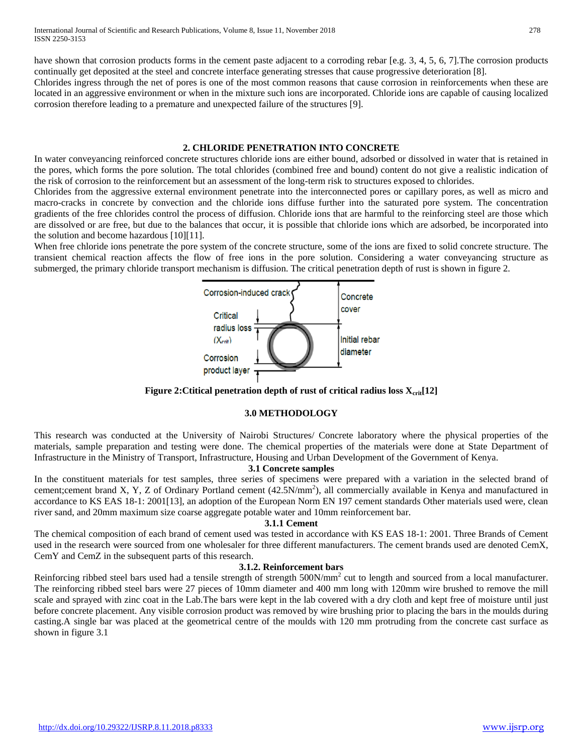have shown that corrosion products forms in the cement paste adjacent to a corroding rebar [e.g. 3, 4, 5, 6, 7]. The corrosion products continually get deposited at the steel and concrete interface generating stresses that cause progressive deterioration [8].

Chlorides ingress through the net of pores is one of the most common reasons that cause corrosion in reinforcements when these are located in an aggressive environment or when in the mixture such ions are incorporated. Chloride ions are capable of causing localized corrosion therefore leading to a premature and unexpected failure of the structures [9].

#### **2. CHLORIDE PENETRATION INTO CONCRETE**

In water conveyancing reinforced concrete structures chloride ions are either bound, adsorbed or dissolved in water that is retained in the pores, which forms the pore solution. The total chlorides (combined free and bound) content do not give a realistic indication of the risk of corrosion to the reinforcement but an assessment of the long-term risk to structures exposed to chlorides.

Chlorides from the aggressive external environment penetrate into the interconnected pores or capillary pores, as well as micro and macro-cracks in concrete by convection and the chloride ions diffuse further into the saturated pore system. The concentration gradients of the free chlorides control the process of diffusion. Chloride ions that are harmful to the reinforcing steel are those which are dissolved or are free, but due to the balances that occur, it is possible that chloride ions which are adsorbed, be incorporated into the solution and become hazardous [10][11].

When free chloride ions penetrate the pore system of the concrete structure, some of the ions are fixed to solid concrete structure. The transient chemical reaction affects the flow of free ions in the pore solution. Considering a water conveyancing structure as submerged, the primary chloride transport mechanism is diffusion. The critical penetration depth of rust is shown in figure 2.



**Figure 2: Ctitical penetration depth of rust of critical radius loss**  $X_{\text{crit}}[12]$ 

# **3.0 METHODOLOGY**

This research was conducted at the University of Nairobi Structures/ Concrete laboratory where the physical properties of the materials, sample preparation and testing were done. The chemical properties of the materials were done at State Department of Infrastructure in the Ministry of Transport, Infrastructure, Housing and Urban Development of the Government of Kenya.

### **3.1 Concrete samples**

In the constituent materials for test samples, three series of specimens were prepared with a variation in the selected brand of cement;cement brand X, Y, Z of Ordinary Portland cement (42.5N/mm<sup>2</sup>), all commercially available in Kenya and manufactured in accordance to KS EAS 18-1: 2001[13], an adoption of the European Norm EN 197 cement standards Other materials used were, clean river sand, and 20mm maximum size coarse aggregate potable water and 10mm reinforcement bar.

#### **3.1.1 Cement**

The chemical composition of each brand of cement used was tested in accordance with KS EAS 18-1: 2001. Three Brands of Cement used in the research were sourced from one wholesaler for three different manufacturers. The cement brands used are denoted CemX, CemY and CemZ in the subsequent parts of this research.

#### **3.1.2. Reinforcement bars**

Reinforcing ribbed steel bars used had a tensile strength of strength 500N/mm<sup>2</sup> cut to length and sourced from a local manufacturer. The reinforcing ribbed steel bars were 27 pieces of 10mm diameter and 400 mm long with 120mm wire brushed to remove the mill scale and sprayed with zinc coat in the Lab.The bars were kept in the lab covered with a dry cloth and kept free of moisture until just before concrete placement. Any visible corrosion product was removed by wire brushing prior to placing the bars in the moulds during casting.A single bar was placed at the geometrical centre of the moulds with 120 mm protruding from the concrete cast surface as shown in figure 3.1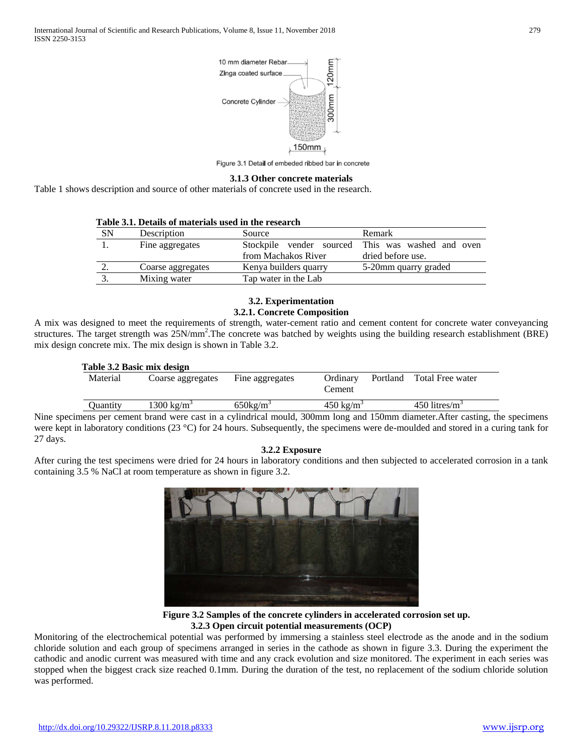

Figure 3.1 Detail of embeded ribbed bar in concrete

#### **3.1.3 Other concrete materials**

Table 1 shows description and source of other materials of concrete used in the research.

| Table 3.1. Details of materials used in the research |                   |                       |                                                                        |  |  |  |
|------------------------------------------------------|-------------------|-----------------------|------------------------------------------------------------------------|--|--|--|
| SΝ                                                   | Description       | Source                | Remark                                                                 |  |  |  |
|                                                      | Fine aggregates   | from Machakos River   | Stockpile vender sourced This was washed and oven<br>dried before use. |  |  |  |
|                                                      | Coarse aggregates | Kenya builders quarry | 5-20mm quarry graded                                                   |  |  |  |
|                                                      | Mixing water      | Tap water in the Lab  |                                                                        |  |  |  |

## **3.2. Experimentation**

#### **3.2.1. Concrete Composition**

A mix was designed to meet the requirements of strength, water-cement ratio and cement content for concrete water conveyancing structures. The target strength was 25N/mm<sup>2</sup>. The concrete was batched by weights using the building research establishment (BRE) mix design concrete mix. The mix design is shown in Table 3.2.

|      | Table 3.2 Basic mix design |                        |                      |                      |                                 |  |  |  |  |
|------|----------------------------|------------------------|----------------------|----------------------|---------------------------------|--|--|--|--|
|      | Material                   | Coarse aggregates      | Fine aggregates      | Ordinary<br>Cement   | Total Free water<br>Portland    |  |  |  |  |
|      | Ouantity                   | 1300 kg/m <sup>3</sup> | 650kg/m <sup>3</sup> | $450 \text{ kg/m}^3$ | $450$ litres/m <sup>3</sup>     |  |  |  |  |
| - -- |                            |                        | .<br>------          |                      | . .<br>$\sim$ $\sim$<br>- - - - |  |  |  |  |

Nine specimens per cement brand were cast in a cylindrical mould, 300mm long and 150mm diameter.After casting, the specimens were kept in laboratory conditions (23 °C) for 24 hours. Subsequently, the specimens were de-moulded and stored in a curing tank for 27 days.

#### **3.2.2 Exposure**

After curing the test specimens were dried for 24 hours in laboratory conditions and then subjected to accelerated corrosion in a tank containing 3.5 % NaCl at room temperature as shown in figure 3.2.



**Figure 3.2 Samples of the concrete cylinders in accelerated corrosion set up. 3.2.3 Open circuit potential measurements (OCP)**

Monitoring of the electrochemical potential was performed by immersing a stainless steel electrode as the anode and in the sodium chloride solution and each group of specimens arranged in series in the cathode as shown in figure 3.3. During the experiment the cathodic and anodic current was measured with time and any crack evolution and size monitored. The experiment in each series was stopped when the biggest crack size reached 0.1mm. During the duration of the test, no replacement of the sodium chloride solution was performed.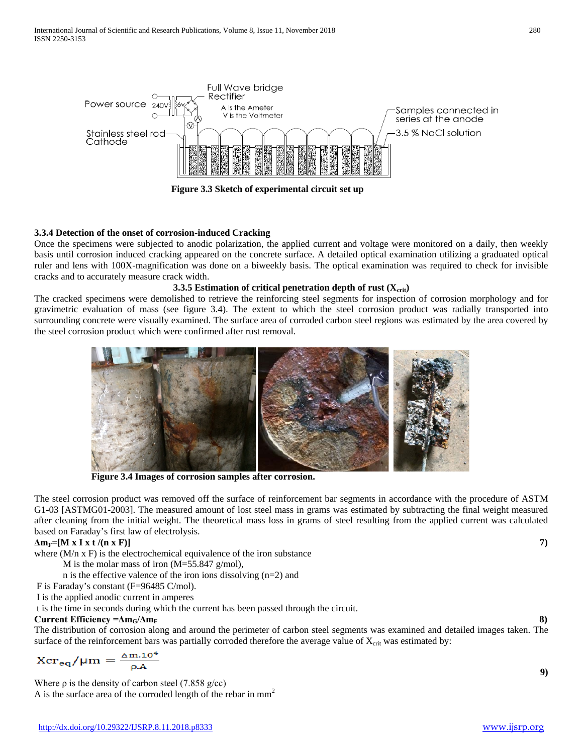

# **3.3.4 Detection of the onset of corrosion-induced Cracking**

Once the specimens were subjected to anodic polarization, the applied current and voltage were monitored on a daily, then weekly basis until corrosion induced cracking appeared on the concrete surface. A detailed optical examination utilizing a graduated optical ruler and lens with 100X-magnification was done on a biweekly basis. The optical examination was required to check for invisible cracks and to accurately measure crack width.

#### **3.3.5 Estimation of critical penetration depth of rust (X<sub>crit</sub>)**

The cracked specimens were demolished to retrieve the reinforcing steel segments for inspection of corrosion morphology and for gravimetric evaluation of mass (see figure 3.4). The extent to which the steel corrosion product was radially transported into surrounding concrete were visually examined. The surface area of corroded carbon steel regions was estimated by the area covered by the steel corrosion product which were confirmed after rust removal.



**Figure 3.4 Images of corrosion samples after corrosion.**

The steel corrosion product was removed off the surface of reinforcement bar segments in accordance with the procedure of ASTM G1-03 [ASTMG01-2003]. The measured amount of lost steel mass in grams was estimated by subtracting the final weight measured after cleaning from the initial weight. The theoretical mass loss in grams of steel resulting from the applied current was calculated based on Faraday's first law of electrolysis.

#### **ΔmF=[M x I x t /(n x F)] 7)**

where  $(M/n \times F)$  is the electrochemical equivalence of the iron substance

M is the molar mass of iron (M=55.847 g/mol),

n is the effective valence of the iron ions dissolving (n=2) and

F is Faraday's constant (F=96485 C/mol).

I is the applied anodic current in amperes

t is the time in seconds during which the current has been passed through the circuit.

#### **Current Efficiency =Δm<sub>G</sub>/Δm<sub>F</sub> 8)** 8

The distribution of corrosion along and around the perimeter of carbon steel segments was examined and detailed images taken. The surface of the reinforcement bars was partially corroded therefore the average value of  $X_{\text{crit}}$  was estimated by:

$$
Xcr_{eq}/\mu m = \frac{\Delta m.10^4}{\rho A}
$$

Where  $\rho$  is the density of carbon steel (7.858 g/cc)

A is the surface area of the corroded length of the rebar in  $mm<sup>2</sup>$ 

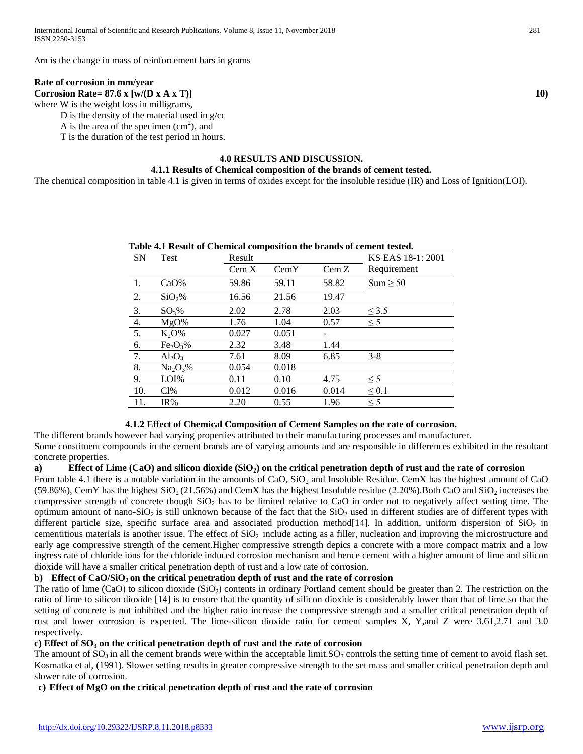Δm is the change in mass of reinforcement bars in grams

#### **Rate of corrosion in mm/year**

**Corrosion Rate= 87.6 x [w/(D x A x T)]** 10) where W is the weight loss in milligrams,

D is the density of the material used in g/cc

A is the area of the specimen  $(cm<sup>2</sup>)$ , and

T is the duration of the test period in hours.

#### **4.0 RESULTS AND DISCUSSION.**

#### **4.1.1 Results of Chemical composition of the brands of cement tested.**

The chemical composition in table 4.1 is given in terms of oxides except for the insoluble residue (IR) and Loss of Ignition(LOI).

| <b>SN</b>        | <b>Table 4.1 Result of Chemical Composition the brands of centent rested.</b><br>Test | Result |       |       | KS EAS 18-1: 2001 |
|------------------|---------------------------------------------------------------------------------------|--------|-------|-------|-------------------|
|                  |                                                                                       | Cem X  | CemY  | Cem Z | Requirement       |
| -1.              | $CaO\%$                                                                               | 59.86  | 59.11 | 58.82 | Sum > 50          |
| 2.               | SiO <sub>2</sub> %                                                                    | 16.56  | 21.56 | 19.47 |                   |
| $\overline{3}$ . | $SO_3\%$                                                                              | 2.02   | 2.78  | 2.03  | $\leq$ 3.5        |
| $\frac{4}{5}$    | MgO%                                                                                  | 1.76   | 1.04  | 0.57  | $\leq$ 5          |
|                  | $K_2O\%$                                                                              | 0.027  | 0.051 |       |                   |
| $\overline{6}$ . | Fe <sub>2</sub> O <sub>3</sub> %                                                      | 2.32   | 3.48  | 1.44  |                   |
| $\overline{7}$ . | $Al_2O_3$                                                                             | 7.61   | 8.09  | 6.85  | $3 - 8$           |
| 8.               | $Na_2O_3\%$                                                                           | 0.054  | 0.018 |       |                   |
| 9.               | LOI%                                                                                  | 0.11   | 0.10  | 4.75  | $\leq$ 5          |
| 10.              | Cl%                                                                                   | 0.012  | 0.016 | 0.014 | $\leq 0.1$        |
| 11.              | IR%                                                                                   | 2.20   | 0.55  | 1.96  | $\leq$ 5          |

# **Table 4.1 Result of Chemical composition the brands of cement tested.**

#### **4.1.2 Effect of Chemical Composition of Cement Samples on the rate of corrosion.**

The different brands however had varying properties attributed to their manufacturing processes and manufacturer. Some constituent compounds in the cement brands are of varying amounts and are responsible in differences exhibited in the resultant concrete properties.

#### **a) Effect of Lime (CaO) and silicon dioxide (SiO2) on the critical penetration depth of rust and the rate of corrosion**

From table 4.1 there is a notable variation in the amounts of CaO,  $SiO<sub>2</sub>$  and Insoluble Residue. CemX has the highest amount of CaO (59.86%), CemY has the highest  $SiO<sub>2</sub>(21.56%)$  and CemX has the highest Insoluble residue (2.20%). Both CaO and  $SiO<sub>2</sub>$  increases the compressive strength of concrete though SiO<sub>2</sub> has to be limited relative to CaO in order not to negatively affect setting time. The optimum amount of nano-SiO<sub>2</sub> is still unknown because of the fact that the  $SiO<sub>2</sub>$  used in different studies are of different types with different particle size, specific surface area and associated production method [14]. In addition, uniform dispersion of  $SiO<sub>2</sub>$  in cementitious materials is another issue. The effect of  $SiO<sub>2</sub>$  include acting as a filler, nucleation and improving the microstructure and early age compressive strength of the cement.Higher compressive strength depics a concrete with a more compact matrix and a low ingress rate of chloride ions for the chloride induced corrosion mechanism and hence cement with a higher amount of lime and silicon dioxide will have a smaller critical penetration depth of rust and a low rate of corrosion.

#### **b) Effect of CaO/SiO<sub>2</sub> on the critical penetration depth of rust and the rate of corrosion**

The ratio of lime (CaO) to silicon dioxide (SiO<sub>2</sub>) contents in ordinary Portland cement should be greater than 2. The restriction on the ratio of lime to silicon dioxide [14] is to ensure that the quantity of silicon dioxide is considerably lower than that of lime so that the setting of concrete is not inhibited and the higher ratio increase the compressive strength and a smaller critical penetration depth of rust and lower corrosion is expected. The lime-silicon dioxide ratio for cement samples X, Y,and Z were 3.61,2.71 and 3.0 respectively.

# **c) Effect of SO3 on the critical penetration depth of rust and the rate of corrosion**

The amount of  $SO_3$  in all the cement brands were within the acceptable limit.  $SO_3$  controls the setting time of cement to avoid flash set. Kosmatka et al, (1991). Slower setting results in greater compressive strength to the set mass and smaller critical penetration depth and slower rate of corrosion.

#### **c) Effect of MgO on the critical penetration depth of rust and the rate of corrosion**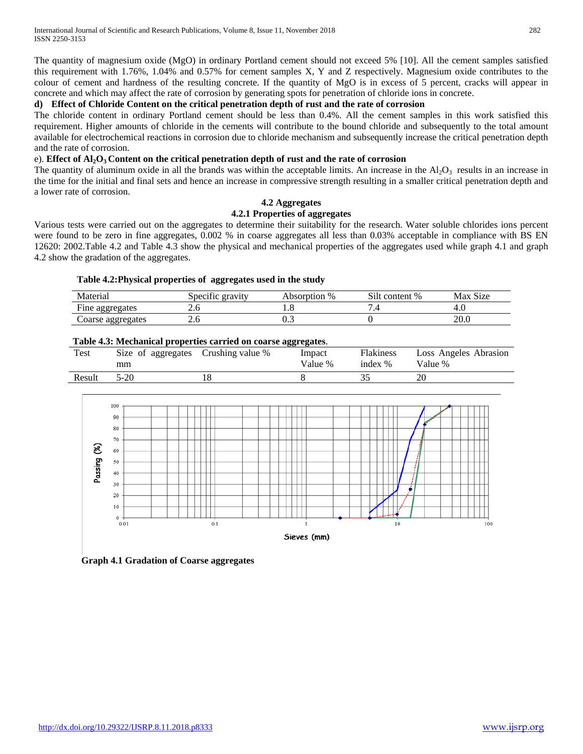The quantity of magnesium oxide (MgO) in ordinary Portland cement should not exceed 5% [10]. All the cement samples satisfied this requirement with 1.76%, 1.04% and 0.57% for cement samples X, Y and Z respectively. Magnesium oxide contributes to the colour of cement and hardness of the resulting concrete. If the quantity of MgO is in excess of 5 percent, cracks will appear in concrete and which may affect the rate of corrosion by generating spots for penetration of chloride ions in concrete.

# **d) Effect of Chloride Content on the critical penetration depth of rust and the rate of corrosion**

The chloride content in ordinary Portland cement should be less than 0.4%. All the cement samples in this work satisfied this requirement. Higher amounts of chloride in the cements will contribute to the bound chloride and subsequently to the total amount available for electrochemical reactions in corrosion due to chloride mechanism and subsequently increase the critical penetration depth and the rate of corrosion.

# e). **Effect of Al2O3 Content on the critical penetration depth of rust and the rate of corrosion**

The quantity of aluminum oxide in all the brands was within the acceptable limits. An increase in the  $Al_2O_3$  results in an increase in the time for the initial and final sets and hence an increase in compressive strength resulting in a smaller critical penetration depth and a lower rate of corrosion.

# **4.2 Aggregates**

# **4.2.1 Properties of aggregates**

Various tests were carried out on the aggregates to determine their suitability for the research. Water soluble chlorides ions percent were found to be zero in fine aggregates, 0.002 % in coarse aggregates all less than 0.03% acceptable in compliance with BS EN 12620: 2002.Table 4.2 and Table 4.3 show the physical and mechanical properties of the aggregates used while graph 4.1 and graph 4.2 show the gradation of the aggregates.

# **Table 4.2:Physical properties of aggregates used in the study**

| Material          | $\cdot$ $\sim$<br>Specific gravity | Absorption % | Silt content % | Max Size |
|-------------------|------------------------------------|--------------|----------------|----------|
| Fine aggregates   | ∠.∪                                | ⊍            |                | –<br>т.ч |
| Coarse aggregates | ∠.∪                                | U.J          |                | 20.0     |

# **Table 4.3: Mechanical properties carried on coarse aggregates**.

|        |                          |                  | .                 |                             |                                  |
|--------|--------------------------|------------------|-------------------|-----------------------------|----------------------------------|
| Test   | Size of aggregates<br>mm | Crushing value % | Impact<br>Value % | <b>Flakiness</b><br>index % | Loss Angeles Abrasion<br>Value % |
| Result | $5-20$                   |                  |                   |                             | 20                               |



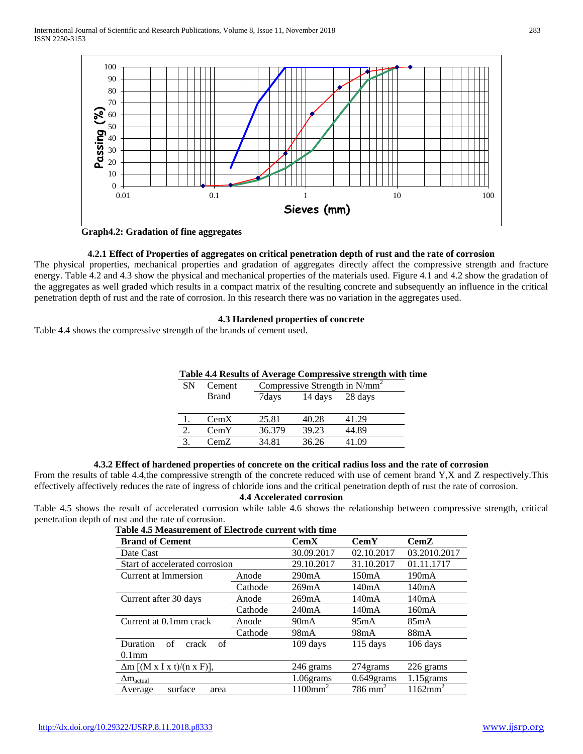

**Graph4.2: Gradation of fine aggregates**

#### **4.2.1 Effect of Properties of aggregates on critical penetration depth of rust and the rate of corrosion**

The physical properties, mechanical properties and gradation of aggregates directly affect the compressive strength and fracture energy. Table 4.2 and 4.3 show the physical and mechanical properties of the materials used. Figure 4.1 and 4.2 show the gradation of the aggregates as well graded which results in a compact matrix of the resulting concrete and subsequently an influence in the critical penetration depth of rust and the rate of corrosion. In this research there was no variation in the aggregates used.

## **4.3 Hardened properties of concrete**

Table 4.4 shows the compressive strength of the brands of cement used.

| Table 4.4 Results of Average Compressive strength with time |
|-------------------------------------------------------------|
|-------------------------------------------------------------|

| SΝ | Cement       | Compressive Strength in $N/mm^2$ |         |         |  |  |
|----|--------------|----------------------------------|---------|---------|--|--|
|    | <b>Brand</b> | 7days                            | 14 days | 28 days |  |  |
|    |              |                                  |         |         |  |  |
|    | CemX         | 25.81                            | 40.28   | 41.29   |  |  |
|    | CemY         | 36.379                           | 39.23   | 44.89   |  |  |
|    | CemZ         | 34.81                            | 36.26   | 41.09   |  |  |

#### **4.3.2 Effect of hardened properties of concrete on the critical radius loss and the rate of corrosion**

From the results of table 4.4,the compressive strength of the concrete reduced with use of cement brand Y,X and Z respectively.This effectively affectively reduces the rate of ingress of chloride ions and the critical penetration depth of rust the rate of corrosion.

#### **4.4 Accelerated corrosion**

Table 4.5 shows the result of accelerated corrosion while table 4.6 shows the relationship between compressive strength, critical penetration depth of rust and the rate of corrosion.

| Table 4.5 Measurement of Electrode current with time |         |                           |                       |                    |  |  |
|------------------------------------------------------|---------|---------------------------|-----------------------|--------------------|--|--|
| <b>Brand of Cement</b>                               |         | $\mathbf{Cem} \mathbf{X}$ | $\bf CemY$            | $\bf CemZ$         |  |  |
| Date Cast                                            |         | 30.09.2017                | 02.10.2017            | 03.2010.2017       |  |  |
| Start of accelerated corrosion                       |         | 29.10.2017                | 31.10.2017            | 01.11.1717         |  |  |
| Current at Immersion                                 | Anode   | 290mA                     | 150mA                 | 190mA              |  |  |
|                                                      | Cathode | 269mA                     | 140mA                 | 140mA              |  |  |
| Current after 30 days                                | Anode   | 269mA                     | 140mA                 | 140mA              |  |  |
|                                                      | Cathode | 240mA                     | 140mA                 | 160mA              |  |  |
| Current at 0.1mm crack                               | Anode   | 90mA                      | 95mA                  | 85mA               |  |  |
|                                                      | Cathode | 98mA                      | 98mA                  | 88mA               |  |  |
| of<br>Duration<br>of<br>crack                        |         | 109 days                  | $115$ days            | 106 days           |  |  |
| $0.1$ mm                                             |         |                           |                       |                    |  |  |
| $\Delta m$ [(M x I x t)/(n x F)],                    |         | 246 grams                 | 274 grams             | 226 grams          |  |  |
| $\Delta m_{\text{actual}}$                           |         | 1.06grams                 | $0.649$ grams         | $1.15$ grams       |  |  |
| surface<br>Average<br>area                           |         | $1100$ mm <sup>2</sup>    | $786$ mm <sup>2</sup> | $1162 \text{mm}^2$ |  |  |

# **Table 4.5 Measurement of Electrode**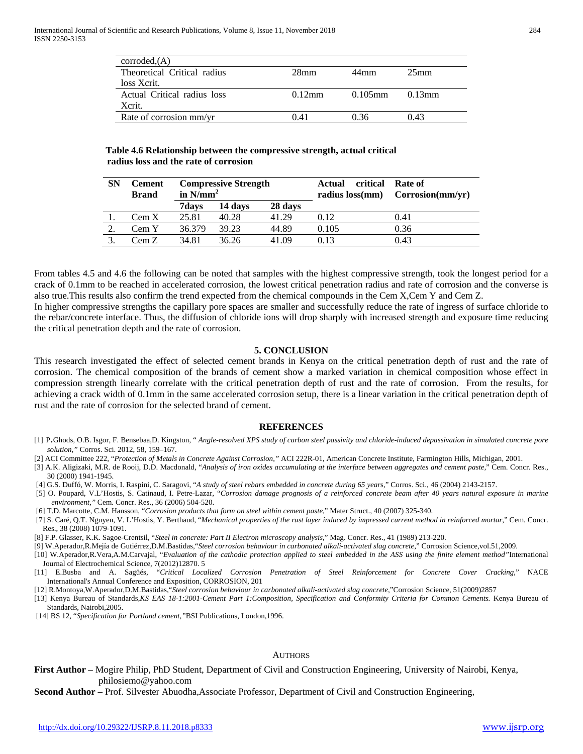| corroded. (A)               |                  |            |                  |
|-----------------------------|------------------|------------|------------------|
| Theoretical Critical radius | 28 <sub>mm</sub> | 44mm       | 25 <sub>mm</sub> |
| loss Xerit.                 |                  |            |                  |
| Actual Critical radius loss | $0.12$ mm        | $0.105$ mm | $0.13$ mm        |
| Xcrit.                      |                  |            |                  |
| Rate of corrosion mm/vr     | () 41            | 0.36       | 0 43             |

#### **Table 4.6 Relationship between the compressive strength, actual critical radius loss and the rate of corrosion**

| <b>SN</b> | Cement<br><b>Brand</b> | <b>Compressive Strength</b><br>in $N/mm^2$ |         | critical<br>Actual<br>radius loss(mm) | Rate of<br>Corrosion(mm/yr) |      |
|-----------|------------------------|--------------------------------------------|---------|---------------------------------------|-----------------------------|------|
|           |                        | 7days                                      | 14 days | 28 days                               |                             |      |
|           | Cem X                  | 25.81                                      | 40.28   | 41.29                                 | 0.12                        | 0.41 |
|           | Cem Y                  | 36.379                                     | 39.23   | 44.89                                 | 0.105                       | 0.36 |
|           | Cem Z                  | 34.81                                      | 36.26   | 41.09                                 | 0.13                        | 0.43 |

From tables 4.5 and 4.6 the following can be noted that samples with the highest compressive strength, took the longest period for a crack of 0.1mm to be reached in accelerated corrosion, the lowest critical penetration radius and rate of corrosion and the converse is also true.This results also confirm the trend expected from the chemical compounds in the Cem X,Cem Y and Cem Z.

In higher compressive strengths the capillary pore spaces are smaller and successfully reduce the rate of ingress of surface chloride to the rebar/concrete interface. Thus, the diffusion of chloride ions will drop sharply with increased strength and exposure time reducing the critical penetration depth and the rate of corrosion.

#### **5. CONCLUSION**

This research investigated the effect of selected cement brands in Kenya on the critical penetration depth of rust and the rate of corrosion. The chemical composition of the brands of cement show a marked variation in chemical composition whose effect in compression strength linearly correlate with the critical penetration depth of rust and the rate of corrosion. From the results, for achieving a crack width of 0.1mm in the same accelerated corrosion setup, there is a linear variation in the critical penetration depth of rust and the rate of corrosion for the selected brand of cement.

#### **REFERENCES**

- [1] P.Ghods, O.B. Isgor, F. Bensebaa,D. Kingston, " *Angle-resolved XPS study of carbon steel passivity and chloride-induced depassivation in simulated concrete pore solution,"* Corros. Sci. 2012, 58, 159–167.
- [2] ACI Committee 222, "*Protection of Metals in Concrete Against Corrosion,"* ACI 222R-01, American Concrete Institute, Farmington Hills, Michigan, 2001.
- [3] A.K. Aligizaki, M.R. de Rooij, D.D. Macdonald, "*Analysis of iron oxides accumulating at the interface between aggregates and cement paste,*" Cem. Concr. Res., 30 (2000) 1941-1945.
- [4] G.S. Duffó, W. Morris, I. Raspini, C. Saragovi, "*A study of steel rebars embedded in concrete during 65 year*s," Corros. Sci., 46 (2004) 2143-2157.
- [5] O. Poupard, V.L'Hostis, S. Catinaud, I. Petre-Lazar, "*Corrosion damage prognosis of a reinforced concrete beam after 40 years natural exposure in marine environment,"* Cem. Concr. Res., 36 (2006) 504-520.
- [6] T.D. Marcotte, C.M. Hansson, "*Corrosion products that form on steel within cement paste,*" Mater Struct., 40 (2007) 325-340.
- [7] S. Caré, Q.T. Nguyen, V. L'Hostis, Y. Berthaud, "*Mechanical properties of the rust layer induced by impressed current method in reinforced mortar*," Cem. Concr. Res., 38 (2008) 1079-1091.
- [8] F.P. Glasser, K.K. Sagoe-Crentsil, "*Steel in concrete: Part II Electron microscopy analysis*," Mag. Concr. Res., 41 (1989) 213-220.
- [9] W.Aperador,R.Mejía de Gutiérrez,D.M.Bastidas,"*Steel corrosion behaviour in carbonated alkali-activated slag concrete*," Corrosion Science,vol.51,2009.
- [10] W.Aperador,R.Vera,A.M.Carvajal, "*Evaluation of the cathodic protection applied to steel embedded in the ASS using the finite element method"*International Journal of Electrochemical Science, 7(2012)12870. 5
- [11] E.Busba and A. Sagüés, "*Critical Localized Corrosion Penetration of Steel Reinforcement for Concrete Cover Cracking*," NACE International's Annual Conference and Exposition, CORROSION, 201
- [12] R.Montoya,W.Aperador,D.M.Bastidas,"*Steel corrosion behaviour in carbonated alkali-activated slag concrete*,"Corrosion Science, 51(2009)2857
- [13] Kenya Bureau of Standards,*KS EAS 18-1:2001-Cement Part 1:Composition, Specification and Conformity Criteria for Common Cements.* Kenya Bureau of Standards, Nairobi,2005.

#### AUTHORS

**First Author** – Mogire Philip, PhD Student, Department of Civil and Construction Engineering, University of Nairobi, Kenya, philosiemo@yahoo.com

**Second Author** – Prof. Silvester Abuodha,Associate Professor, Department of Civil and Construction Engineering,